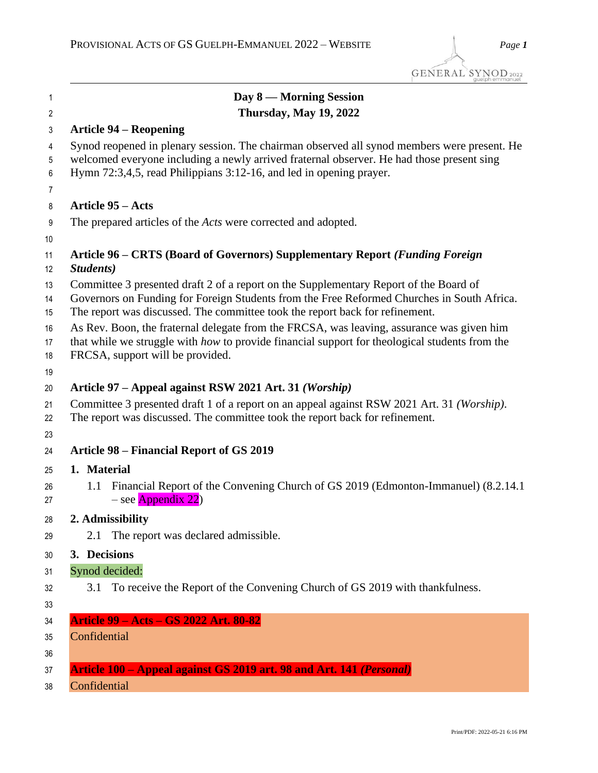| 1                   | Day 8 — Morning Session                                                                                                                                                                                                                                             |
|---------------------|---------------------------------------------------------------------------------------------------------------------------------------------------------------------------------------------------------------------------------------------------------------------|
| $\overline{2}$      | <b>Thursday, May 19, 2022</b>                                                                                                                                                                                                                                       |
| 3                   | <b>Article 94 – Reopening</b>                                                                                                                                                                                                                                       |
| 4<br>5              | Synod reopened in plenary session. The chairman observed all synod members were present. He<br>welcomed everyone including a newly arrived fraternal observer. He had those present sing                                                                            |
| 6<br>$\overline{7}$ | Hymn 72:3,4,5, read Philippians 3:12-16, and led in opening prayer.                                                                                                                                                                                                 |
| 8                   | <b>Article 95 – Acts</b>                                                                                                                                                                                                                                            |
| 9<br>10             | The prepared articles of the <i>Acts</i> were corrected and adopted.                                                                                                                                                                                                |
| 11<br>12            | Article 96 – CRTS (Board of Governors) Supplementary Report (Funding Foreign<br>Students)                                                                                                                                                                           |
| 13<br>14<br>15      | Committee 3 presented draft 2 of a report on the Supplementary Report of the Board of<br>Governors on Funding for Foreign Students from the Free Reformed Churches in South Africa.<br>The report was discussed. The committee took the report back for refinement. |
| 16<br>17<br>18      | As Rev. Boon, the fraternal delegate from the FRCSA, was leaving, assurance was given him<br>that while we struggle with how to provide financial support for theological students from the<br>FRCSA, support will be provided.                                     |
| 19                  |                                                                                                                                                                                                                                                                     |
| 20                  | Article 97 – Appeal against RSW 2021 Art. 31 (Worship)                                                                                                                                                                                                              |
| 21<br>22            | Committee 3 presented draft 1 of a report on an appeal against RSW 2021 Art. 31 (Worship).<br>The report was discussed. The committee took the report back for refinement.                                                                                          |
| 23                  |                                                                                                                                                                                                                                                                     |
| 24                  | <b>Article 98 – Financial Report of GS 2019</b>                                                                                                                                                                                                                     |
| 25                  | 1. Material                                                                                                                                                                                                                                                         |
| 26<br>27            | 1.1 Financial Report of the Convening Church of GS 2019 (Edmonton-Immanuel) (8.2.14.1<br>- see Appendix 22)                                                                                                                                                         |
| 28                  | 2. Admissibility                                                                                                                                                                                                                                                    |
| 29                  | 2.1 The report was declared admissible.                                                                                                                                                                                                                             |
| 30                  | 3. Decisions                                                                                                                                                                                                                                                        |
| 31                  | Synod decided:                                                                                                                                                                                                                                                      |
| 32                  | To receive the Report of the Convening Church of GS 2019 with thankfulness.<br>3.1                                                                                                                                                                                  |
| 33                  |                                                                                                                                                                                                                                                                     |
| 34                  | Article 99 – Acts – GS 2022 Art. 80-82                                                                                                                                                                                                                              |
| 35                  | Confidential                                                                                                                                                                                                                                                        |
| 36                  |                                                                                                                                                                                                                                                                     |
| 37                  | Article 100 - Appeal against GS 2019 art. 98 and Art. 141 (Personal)                                                                                                                                                                                                |
| 38                  | Confidential                                                                                                                                                                                                                                                        |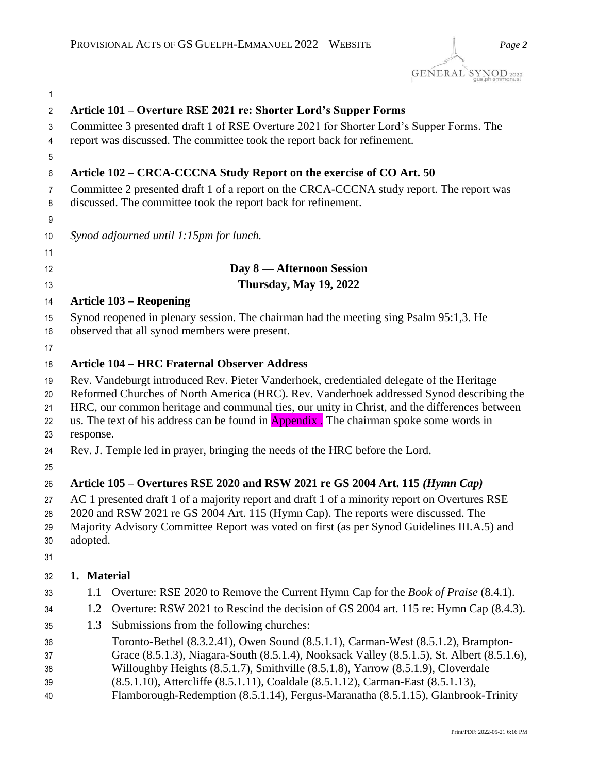| 1              |                                                                                                                                                                                      |                                                                                                                                                                                |  |
|----------------|--------------------------------------------------------------------------------------------------------------------------------------------------------------------------------------|--------------------------------------------------------------------------------------------------------------------------------------------------------------------------------|--|
| $\overline{2}$ |                                                                                                                                                                                      | Article 101 – Overture RSE 2021 re: Shorter Lord's Supper Forms                                                                                                                |  |
| 3              |                                                                                                                                                                                      | Committee 3 presented draft 1 of RSE Overture 2021 for Shorter Lord's Supper Forms. The                                                                                        |  |
| 4              |                                                                                                                                                                                      | report was discussed. The committee took the report back for refinement.                                                                                                       |  |
| 5              |                                                                                                                                                                                      |                                                                                                                                                                                |  |
| 6              |                                                                                                                                                                                      | Article 102 – CRCA-CCCNA Study Report on the exercise of CO Art. 50                                                                                                            |  |
| 7              |                                                                                                                                                                                      | Committee 2 presented draft 1 of a report on the CRCA-CCCNA study report. The report was                                                                                       |  |
| 8              |                                                                                                                                                                                      | discussed. The committee took the report back for refinement.                                                                                                                  |  |
| 9              |                                                                                                                                                                                      |                                                                                                                                                                                |  |
| 10             |                                                                                                                                                                                      | Synod adjourned until 1:15pm for lunch.                                                                                                                                        |  |
| 11             |                                                                                                                                                                                      |                                                                                                                                                                                |  |
| 12             |                                                                                                                                                                                      | Day 8 — Afternoon Session                                                                                                                                                      |  |
| 13             |                                                                                                                                                                                      | <b>Thursday, May 19, 2022</b>                                                                                                                                                  |  |
| 14             |                                                                                                                                                                                      | <b>Article 103 – Reopening</b>                                                                                                                                                 |  |
| 15             |                                                                                                                                                                                      | Synod reopened in plenary session. The chairman had the meeting sing Psalm 95:1,3. He                                                                                          |  |
| 16             |                                                                                                                                                                                      | observed that all synod members were present.                                                                                                                                  |  |
| 17             |                                                                                                                                                                                      |                                                                                                                                                                                |  |
| 18             |                                                                                                                                                                                      | <b>Article 104 – HRC Fraternal Observer Address</b>                                                                                                                            |  |
| 19             | Rev. Vandeburgt introduced Rev. Pieter Vanderhoek, credentialed delegate of the Heritage<br>Reformed Churches of North America (HRC). Rev. Vanderhoek addressed Synod describing the |                                                                                                                                                                                |  |
| 20<br>21       | HRC, our common heritage and communal ties, our unity in Christ, and the differences between                                                                                         |                                                                                                                                                                                |  |
| 22             | us. The text of his address can be found in <b>Appendix</b> . The chairman spoke some words in                                                                                       |                                                                                                                                                                                |  |
| 23             | response.                                                                                                                                                                            |                                                                                                                                                                                |  |
| 24             |                                                                                                                                                                                      | Rev. J. Temple led in prayer, bringing the needs of the HRC before the Lord.                                                                                                   |  |
| 25             |                                                                                                                                                                                      |                                                                                                                                                                                |  |
| 26             |                                                                                                                                                                                      | Article 105 – Overtures RSE 2020 and RSW 2021 re GS 2004 Art. 115 (Hymn Cap)                                                                                                   |  |
| 27             |                                                                                                                                                                                      | AC 1 presented draft 1 of a majority report and draft 1 of a minority report on Overtures RSE                                                                                  |  |
| 28             |                                                                                                                                                                                      | 2020 and RSW 2021 re GS 2004 Art. 115 (Hymn Cap). The reports were discussed. The                                                                                              |  |
| 29             | Majority Advisory Committee Report was voted on first (as per Synod Guidelines III.A.5) and                                                                                          |                                                                                                                                                                                |  |
| 30             | adopted.                                                                                                                                                                             |                                                                                                                                                                                |  |
| 31             |                                                                                                                                                                                      |                                                                                                                                                                                |  |
| 32             | 1. Material                                                                                                                                                                          |                                                                                                                                                                                |  |
| 33             | 1.1                                                                                                                                                                                  | Overture: RSE 2020 to Remove the Current Hymn Cap for the <i>Book of Praise</i> (8.4.1).                                                                                       |  |
| 34             | 1.2                                                                                                                                                                                  | Overture: RSW 2021 to Rescind the decision of GS 2004 art. 115 re: Hymn Cap (8.4.3).                                                                                           |  |
| 35             | 1.3                                                                                                                                                                                  | Submissions from the following churches:                                                                                                                                       |  |
| 36             |                                                                                                                                                                                      | Toronto-Bethel (8.3.2.41), Owen Sound (8.5.1.1), Carman-West (8.5.1.2), Brampton-                                                                                              |  |
| 37             |                                                                                                                                                                                      | Grace (8.5.1.3), Niagara-South (8.5.1.4), Nooksack Valley (8.5.1.5), St. Albert (8.5.1.6),<br>Willoughby Heights (8.5.1.7), Smithville (8.5.1.8), Yarrow (8.5.1.9), Cloverdale |  |
| 38<br>39       |                                                                                                                                                                                      | (8.5.1.10), Attercliffe (8.5.1.11), Coaldale (8.5.1.12), Carman-East (8.5.1.13),                                                                                               |  |

Flamborough-Redemption (8.5.1.14), Fergus-Maranatha (8.5.1.15), Glanbrook-Trinity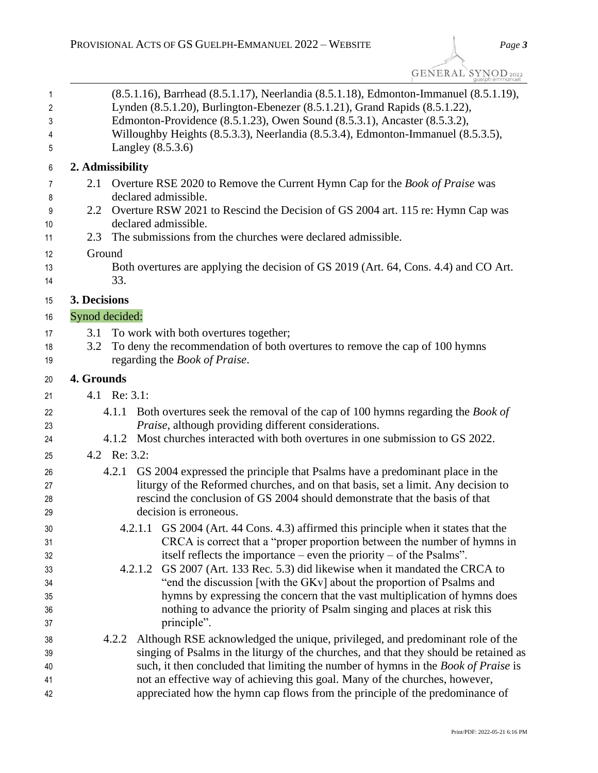GENERAL SYNOD<sub>2022</sub>

| $\mathbf{1}$<br>2<br>3<br>4<br>5 | (8.5.1.16), Barrhead (8.5.1.17), Neerlandia (8.5.1.18), Edmonton-Immanuel (8.5.1.19),<br>Lynden (8.5.1.20), Burlington-Ebenezer (8.5.1.21), Grand Rapids (8.5.1.22),<br>Edmonton-Providence (8.5.1.23), Owen Sound (8.5.3.1), Ancaster (8.5.3.2),<br>Willoughby Heights (8.5.3.3), Neerlandia (8.5.3.4), Edmonton-Immanuel (8.5.3.5),<br>Langley $(8.5.3.6)$ |
|----------------------------------|--------------------------------------------------------------------------------------------------------------------------------------------------------------------------------------------------------------------------------------------------------------------------------------------------------------------------------------------------------------|
| 6                                | 2. Admissibility                                                                                                                                                                                                                                                                                                                                             |
| $\overline{7}$                   | Overture RSE 2020 to Remove the Current Hymn Cap for the <i>Book of Praise</i> was<br>2.1                                                                                                                                                                                                                                                                    |
| 8                                | declared admissible.                                                                                                                                                                                                                                                                                                                                         |
| 9                                | Overture RSW 2021 to Rescind the Decision of GS 2004 art. 115 re: Hymn Cap was<br>2.2                                                                                                                                                                                                                                                                        |
| 10                               | declared admissible.                                                                                                                                                                                                                                                                                                                                         |
| 11                               | The submissions from the churches were declared admissible.<br>2.3                                                                                                                                                                                                                                                                                           |
| 12                               | Ground                                                                                                                                                                                                                                                                                                                                                       |
| 13                               | Both overtures are applying the decision of GS 2019 (Art. 64, Cons. 4.4) and CO Art.                                                                                                                                                                                                                                                                         |
| 14                               | 33.                                                                                                                                                                                                                                                                                                                                                          |
| 15                               | 3. Decisions                                                                                                                                                                                                                                                                                                                                                 |
| 16                               | Synod decided:                                                                                                                                                                                                                                                                                                                                               |
| 17                               | To work with both overtures together;<br>3.1                                                                                                                                                                                                                                                                                                                 |
| 18                               | To deny the recommendation of both overtures to remove the cap of 100 hymns<br>3.2                                                                                                                                                                                                                                                                           |
| 19                               | regarding the <i>Book of Praise</i> .                                                                                                                                                                                                                                                                                                                        |
| 20                               | 4. Grounds                                                                                                                                                                                                                                                                                                                                                   |
| 21                               | 4.1 Re: 3.1:                                                                                                                                                                                                                                                                                                                                                 |
| 22                               | 4.1.1 Both overtures seek the removal of the cap of 100 hymns regarding the <i>Book of</i>                                                                                                                                                                                                                                                                   |
| 23                               | Praise, although providing different considerations.                                                                                                                                                                                                                                                                                                         |
| 24                               | 4.1.2 Most churches interacted with both overtures in one submission to GS 2022.                                                                                                                                                                                                                                                                             |
| 25                               | 4.2 Re: 3.2:                                                                                                                                                                                                                                                                                                                                                 |
| 26                               | 4.2.1 GS 2004 expressed the principle that Psalms have a predominant place in the                                                                                                                                                                                                                                                                            |
| 27                               | liturgy of the Reformed churches, and on that basis, set a limit. Any decision to                                                                                                                                                                                                                                                                            |
| 28                               | rescind the conclusion of GS 2004 should demonstrate that the basis of that                                                                                                                                                                                                                                                                                  |
| 29                               | decision is erroneous.                                                                                                                                                                                                                                                                                                                                       |
| 30                               | 4.2.1.1 GS 2004 (Art. 44 Cons. 4.3) affirmed this principle when it states that the                                                                                                                                                                                                                                                                          |
| 31                               | CRCA is correct that a "proper proportion between the number of hymns in                                                                                                                                                                                                                                                                                     |
| 32                               | itself reflects the importance – even the priority – of the Psalms".                                                                                                                                                                                                                                                                                         |
| 33                               | GS 2007 (Art. 133 Rec. 5.3) did likewise when it mandated the CRCA to<br>4.2.1.2                                                                                                                                                                                                                                                                             |
| 34                               | "end the discussion [with the GKv] about the proportion of Psalms and                                                                                                                                                                                                                                                                                        |
| 35<br>36                         | hymns by expressing the concern that the vast multiplication of hymns does<br>nothing to advance the priority of Psalm singing and places at risk this                                                                                                                                                                                                       |
| 37                               | principle".                                                                                                                                                                                                                                                                                                                                                  |
| 38                               | Although RSE acknowledged the unique, privileged, and predominant role of the<br>4.2.2                                                                                                                                                                                                                                                                       |
| 39                               | singing of Psalms in the liturgy of the churches, and that they should be retained as                                                                                                                                                                                                                                                                        |
| 40                               | such, it then concluded that limiting the number of hymns in the Book of Praise is                                                                                                                                                                                                                                                                           |
| 41                               | not an effective way of achieving this goal. Many of the churches, however,                                                                                                                                                                                                                                                                                  |
| 42                               | appreciated how the hymn cap flows from the principle of the predominance of                                                                                                                                                                                                                                                                                 |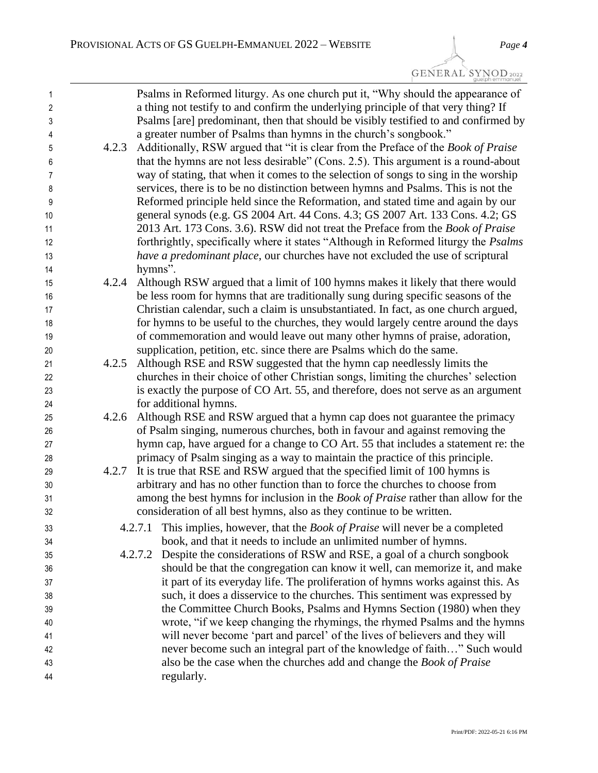| $\mathbf{1}$<br>$\overline{2}$ |       | Psalms in Reformed liturgy. As one church put it, "Why should the appearance of<br>a thing not testify to and confirm the underlying principle of that very thing? If    |
|--------------------------------|-------|--------------------------------------------------------------------------------------------------------------------------------------------------------------------------|
| 3                              |       | Psalms [are] predominant, then that should be visibly testified to and confirmed by                                                                                      |
| 4                              |       | a greater number of Psalms than hymns in the church's songbook."                                                                                                         |
| 5                              | 4.2.3 | Additionally, RSW argued that "it is clear from the Preface of the <i>Book of Praise</i>                                                                                 |
| 6                              |       | that the hymns are not less desirable" (Cons. 2.5). This argument is a round-about                                                                                       |
| 7                              |       | way of stating, that when it comes to the selection of songs to sing in the worship<br>services, there is to be no distinction between hymns and Psalms. This is not the |
| 8<br>9                         |       | Reformed principle held since the Reformation, and stated time and again by our                                                                                          |
| 10                             |       | general synods (e.g. GS 2004 Art. 44 Cons. 4.3; GS 2007 Art. 133 Cons. 4.2; GS                                                                                           |
| 11                             |       | 2013 Art. 173 Cons. 3.6). RSW did not treat the Preface from the Book of Praise                                                                                          |
| 12                             |       | forthrightly, specifically where it states "Although in Reformed liturgy the <i>Psalms</i>                                                                               |
| 13                             |       | have a predominant place, our churches have not excluded the use of scriptural                                                                                           |
| 14                             |       | hymns".                                                                                                                                                                  |
| 15                             | 4.2.4 | Although RSW argued that a limit of 100 hymns makes it likely that there would                                                                                           |
| 16                             |       | be less room for hymns that are traditionally sung during specific seasons of the                                                                                        |
| 17                             |       | Christian calendar, such a claim is unsubstantiated. In fact, as one church argued,                                                                                      |
| 18                             |       | for hymns to be useful to the churches, they would largely centre around the days                                                                                        |
| 19                             |       | of commemoration and would leave out many other hymns of praise, adoration,                                                                                              |
| 20                             |       | supplication, petition, etc. since there are Psalms which do the same.                                                                                                   |
| 21                             | 4.2.5 | Although RSE and RSW suggested that the hymn cap needlessly limits the                                                                                                   |
| 22                             |       | churches in their choice of other Christian songs, limiting the churches' selection                                                                                      |
| 23                             |       | is exactly the purpose of CO Art. 55, and therefore, does not serve as an argument                                                                                       |
| 24                             |       | for additional hymns.                                                                                                                                                    |
| 25                             | 4.2.6 | Although RSE and RSW argued that a hymn cap does not guarantee the primacy                                                                                               |
| 26                             |       | of Psalm singing, numerous churches, both in favour and against removing the                                                                                             |
| 27                             |       | hymn cap, have argued for a change to CO Art. 55 that includes a statement re: the                                                                                       |
| 28                             |       | primacy of Psalm singing as a way to maintain the practice of this principle.                                                                                            |
| 29                             | 4.2.7 | It is true that RSE and RSW argued that the specified limit of 100 hymns is                                                                                              |
| 30                             |       | arbitrary and has no other function than to force the churches to choose from                                                                                            |
| 31                             |       | among the best hymns for inclusion in the <i>Book of Praise</i> rather than allow for the                                                                                |
| 32                             |       | consideration of all best hymns, also as they continue to be written.                                                                                                    |
| 33                             |       | This implies, however, that the <i>Book of Praise</i> will never be a completed<br>4.2.7.1                                                                               |
| 34                             |       | book, and that it needs to include an unlimited number of hymns.                                                                                                         |
| 35                             |       | Despite the considerations of RSW and RSE, a goal of a church songbook<br>4.2.7.2                                                                                        |
| 36                             |       | should be that the congregation can know it well, can memorize it, and make                                                                                              |
| 37                             |       | it part of its everyday life. The proliferation of hymns works against this. As                                                                                          |
| 38                             |       | such, it does a disservice to the churches. This sentiment was expressed by                                                                                              |
| 39                             |       | the Committee Church Books, Psalms and Hymns Section (1980) when they                                                                                                    |
| 40                             |       | wrote, "if we keep changing the rhymings, the rhymed Psalms and the hymns                                                                                                |
| 41                             |       | will never become 'part and parcel' of the lives of believers and they will                                                                                              |
| 42                             |       | never become such an integral part of the knowledge of faith" Such would                                                                                                 |
| 43                             |       | also be the case when the churches add and change the Book of Praise                                                                                                     |
| 44                             |       | regularly.                                                                                                                                                               |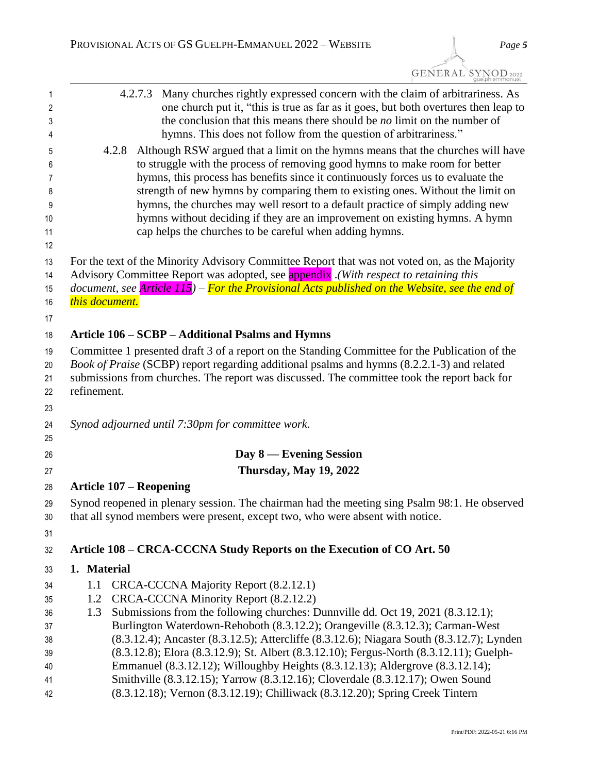| GENERAL SYNOD <sub>2022</sub> | quelph emmanuel |
|-------------------------------|-----------------|
|                               |                 |

| Although RSW argued that a limit on the hymns means that the churches will have<br>to struggle with the process of removing good hymns to make room for better<br>hymns, this process has benefits since it continuously forces us to evaluate the<br>strength of new hymns by comparing them to existing ones. Without the limit on<br>hymns, the churches may well resort to a default practice of simply adding new<br>hymns without deciding if they are an improvement on existing hymns. A hymn |
|-------------------------------------------------------------------------------------------------------------------------------------------------------------------------------------------------------------------------------------------------------------------------------------------------------------------------------------------------------------------------------------------------------------------------------------------------------------------------------------------------------|
|                                                                                                                                                                                                                                                                                                                                                                                                                                                                                                       |
| For the text of the Minority Advisory Committee Report that was not voted on, as the Majority<br>Advisory Committee Report was adopted, see <b>appendix</b> (With respect to retaining this<br>document, see <i>Article 115</i> ) – <i>For the Provisional Acts published on the Website, see the end of</i>                                                                                                                                                                                          |
| Committee 1 presented draft 3 of a report on the Standing Committee for the Publication of the<br>Book of Praise (SCBP) report regarding additional psalms and hymns (8.2.2.1-3) and related<br>submissions from churches. The report was discussed. The committee took the report back for                                                                                                                                                                                                           |
|                                                                                                                                                                                                                                                                                                                                                                                                                                                                                                       |
|                                                                                                                                                                                                                                                                                                                                                                                                                                                                                                       |
|                                                                                                                                                                                                                                                                                                                                                                                                                                                                                                       |
|                                                                                                                                                                                                                                                                                                                                                                                                                                                                                                       |
|                                                                                                                                                                                                                                                                                                                                                                                                                                                                                                       |
| Synod reopened in plenary session. The chairman had the meeting sing Psalm 98:1. He observed                                                                                                                                                                                                                                                                                                                                                                                                          |
|                                                                                                                                                                                                                                                                                                                                                                                                                                                                                                       |
|                                                                                                                                                                                                                                                                                                                                                                                                                                                                                                       |
|                                                                                                                                                                                                                                                                                                                                                                                                                                                                                                       |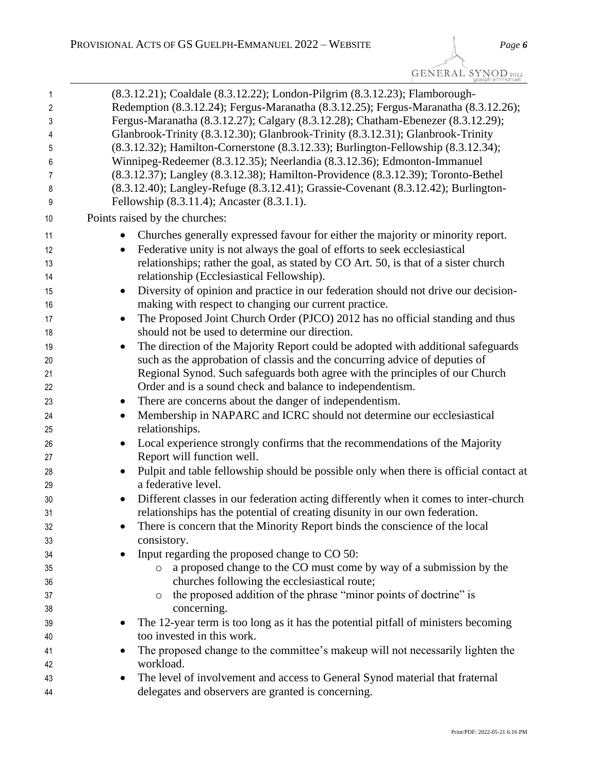GENERAL SYNOD 2022

| 1  | (8.3.12.21); Coaldale (8.3.12.22); London-Pilgrim (8.3.12.23); Flamborough-                        |
|----|----------------------------------------------------------------------------------------------------|
| 2  | Redemption (8.3.12.24); Fergus-Maranatha (8.3.12.25); Fergus-Maranatha (8.3.12.26);                |
| 3  | Fergus-Maranatha (8.3.12.27); Calgary (8.3.12.28); Chatham-Ebenezer (8.3.12.29);                   |
| 4  | Glanbrook-Trinity (8.3.12.30); Glanbrook-Trinity (8.3.12.31); Glanbrook-Trinity                    |
| 5  | (8.3.12.32); Hamilton-Cornerstone (8.3.12.33); Burlington-Fellowship (8.3.12.34);                  |
| 6  | Winnipeg-Redeemer (8.3.12.35); Neerlandia (8.3.12.36); Edmonton-Immanuel                           |
| 7  | (8.3.12.37); Langley (8.3.12.38); Hamilton-Providence (8.3.12.39); Toronto-Bethel                  |
| 8  | (8.3.12.40); Langley-Refuge (8.3.12.41); Grassie-Covenant (8.3.12.42); Burlington-                 |
| 9  | Fellowship (8.3.11.4); Ancaster (8.3.1.1).                                                         |
| 10 | Points raised by the churches:                                                                     |
| 11 | Churches generally expressed favour for either the majority or minority report.                    |
| 12 | Federative unity is not always the goal of efforts to seek ecclesiastical                          |
| 13 | relationships; rather the goal, as stated by CO Art. 50, is that of a sister church                |
| 14 | relationship (Ecclesiastical Fellowship).                                                          |
| 15 | Diversity of opinion and practice in our federation should not drive our decision-<br>$\bullet$    |
| 16 | making with respect to changing our current practice.                                              |
| 17 | The Proposed Joint Church Order (PJCO) 2012 has no official standing and thus<br>$\bullet$         |
| 18 | should not be used to determine our direction.                                                     |
| 19 | The direction of the Majority Report could be adopted with additional safeguards<br>$\bullet$      |
| 20 | such as the approbation of classis and the concurring advice of deputies of                        |
| 21 | Regional Synod. Such safeguards both agree with the principles of our Church                       |
| 22 | Order and is a sound check and balance to independentism.                                          |
| 23 | There are concerns about the danger of independentism.<br>$\bullet$                                |
| 24 | Membership in NAPARC and ICRC should not determine our ecclesiastical                              |
| 25 | relationships.                                                                                     |
| 26 | Local experience strongly confirms that the recommendations of the Majority                        |
| 27 | Report will function well.                                                                         |
| 28 | Pulpit and table fellowship should be possible only when there is official contact at<br>$\bullet$ |
| 29 | a federative level.                                                                                |
| 30 | Different classes in our federation acting differently when it comes to inter-church               |
| 31 | relationships has the potential of creating disunity in our own federation.                        |
| 32 | There is concern that the Minority Report binds the conscience of the local                        |
| 33 | consistory.                                                                                        |
| 34 | Input regarding the proposed change to CO 50:                                                      |
| 35 | a proposed change to the CO must come by way of a submission by the<br>$\circ$                     |
| 36 | churches following the ecclesiastical route;                                                       |
| 37 | the proposed addition of the phrase "minor points of doctrine" is<br>$\circ$                       |
| 38 | concerning.                                                                                        |
| 39 | The 12-year term is too long as it has the potential pitfall of ministers becoming                 |
| 40 | too invested in this work.                                                                         |
| 41 | The proposed change to the committee's makeup will not necessarily lighten the                     |
| 42 | workload.                                                                                          |
| 43 | The level of involvement and access to General Synod material that fraternal                       |
| 44 | delegates and observers are granted is concerning.                                                 |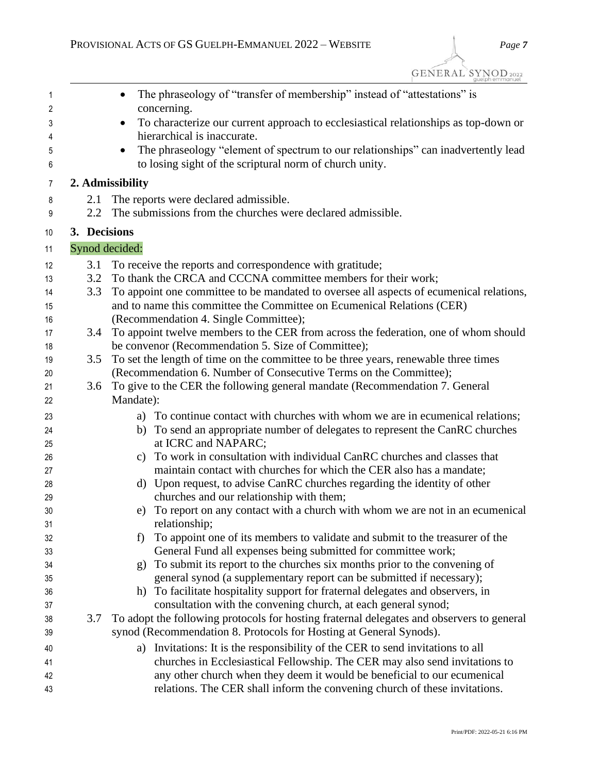$\widetilde{GENERAL}$   $\widetilde{S_{\text{gue}}^{Y}}$   $\underset{\text{gue} \text{lph emmanuel}}{\text{S}}$ 

| $\overline{1}$<br>2 |              | The phraseology of "transfer of membership" instead of "attestations" is<br>concerning.          |
|---------------------|--------------|--------------------------------------------------------------------------------------------------|
|                     |              | To characterize our current approach to ecclesiastical relationships as top-down or<br>$\bullet$ |
| 3<br>4              |              | hierarchical is inaccurate.                                                                      |
| 5                   |              | The phraseology "element of spectrum to our relationships" can inadvertently lead                |
| 6                   |              | to losing sight of the scriptural norm of church unity.                                          |
| 7                   |              | 2. Admissibility                                                                                 |
| 8                   | 2.1          | The reports were declared admissible.                                                            |
| 9                   | 2.2          | The submissions from the churches were declared admissible.                                      |
| 10                  | 3. Decisions |                                                                                                  |
| 11                  |              | Synod decided:                                                                                   |
| 12                  | 3.1          | To receive the reports and correspondence with gratitude;                                        |
| 13                  | 3.2          | To thank the CRCA and CCCNA committee members for their work;                                    |
| 14                  | 3.3          | To appoint one committee to be mandated to oversee all aspects of ecumenical relations,          |
| 15                  |              | and to name this committee the Committee on Ecumenical Relations (CER)                           |
| 16                  |              | (Recommendation 4. Single Committee);                                                            |
| 17                  | 3.4          | To appoint twelve members to the CER from across the federation, one of whom should              |
| 18                  |              | be convenor (Recommendation 5. Size of Committee);                                               |
| 19                  | 3.5          | To set the length of time on the committee to be three years, renewable three times              |
| 20                  |              | (Recommendation 6. Number of Consecutive Terms on the Committee);                                |
| 21                  | 3.6          | To give to the CER the following general mandate (Recommendation 7. General                      |
| 22                  |              | Mandate):                                                                                        |
| 23                  |              | a) To continue contact with churches with whom we are in ecumenical relations;                   |
| 24                  |              | To send an appropriate number of delegates to represent the CanRC churches<br>b)                 |
| 25                  |              | at ICRC and NAPARC;                                                                              |
| 26                  |              | To work in consultation with individual CanRC churches and classes that<br>C)                    |
| 27                  |              | maintain contact with churches for which the CER also has a mandate;                             |
| 28                  |              | d) Upon request, to advise CanRC churches regarding the identity of other                        |
| 29                  |              | churches and our relationship with them;                                                         |
| 30                  |              | To report on any contact with a church with whom we are not in an ecumenical                     |
| 31                  |              | relationship;                                                                                    |
| 32                  |              | To appoint one of its members to validate and submit to the treasurer of the                     |
| 33                  |              | General Fund all expenses being submitted for committee work;                                    |
| 34                  |              | To submit its report to the churches six months prior to the convening of<br>g)                  |
| 35                  |              | general synod (a supplementary report can be submitted if necessary);                            |
| 36                  |              | To facilitate hospitality support for fraternal delegates and observers, in<br>h)                |
| 37                  |              | consultation with the convening church, at each general synod;                                   |
| 38                  | 3.7          | To adopt the following protocols for hosting fraternal delegates and observers to general        |
| 39                  |              | synod (Recommendation 8. Protocols for Hosting at General Synods).                               |
| 40                  |              | a) Invitations: It is the responsibility of the CER to send invitations to all                   |
| 41                  |              | churches in Ecclesiastical Fellowship. The CER may also send invitations to                      |
| 42                  |              | any other church when they deem it would be beneficial to our ecumenical                         |
| 43                  |              | relations. The CER shall inform the convening church of these invitations.                       |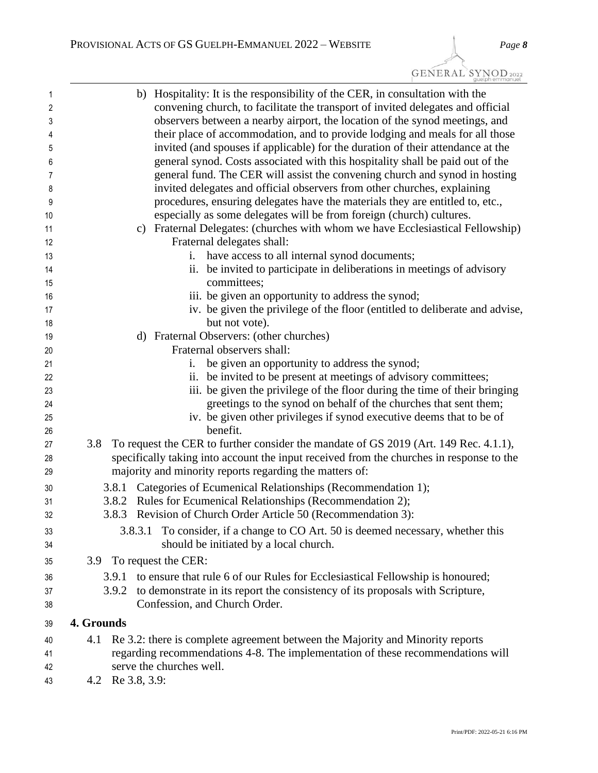| 1              | b) Hospitality: It is the responsibility of the CER, in consultation with the               |
|----------------|---------------------------------------------------------------------------------------------|
| $\overline{2}$ | convening church, to facilitate the transport of invited delegates and official             |
| 3              | observers between a nearby airport, the location of the synod meetings, and                 |
| 4              | their place of accommodation, and to provide lodging and meals for all those                |
| 5              | invited (and spouses if applicable) for the duration of their attendance at the             |
| 6              | general synod. Costs associated with this hospitality shall be paid out of the              |
| 7              | general fund. The CER will assist the convening church and synod in hosting                 |
| 8              | invited delegates and official observers from other churches, explaining                    |
| 9              | procedures, ensuring delegates have the materials they are entitled to, etc.,               |
| 10             | especially as some delegates will be from foreign (church) cultures.                        |
| 11             | c) Fraternal Delegates: (churches with whom we have Ecclesiastical Fellowship)              |
| 12             | Fraternal delegates shall:                                                                  |
| 13             | have access to all internal synod documents;<br>1.                                          |
| 14             | ii. be invited to participate in deliberations in meetings of advisory                      |
| 15             | committees;                                                                                 |
| 16             | iii. be given an opportunity to address the synod;                                          |
| 17             | iv. be given the privilege of the floor (entitled to deliberate and advise,                 |
| 18             | but not vote).                                                                              |
| 19             | d) Fraternal Observers: (other churches)                                                    |
| 20             | Fraternal observers shall:                                                                  |
| 21             | be given an opportunity to address the synod;<br>1.                                         |
| 22             | ii. be invited to be present at meetings of advisory committees;                            |
| 23             | iii. be given the privilege of the floor during the time of their bringing                  |
| 24             | greetings to the synod on behalf of the churches that sent them;                            |
| 25             | iv. be given other privileges if synod executive deems that to be of                        |
| 26             | benefit.                                                                                    |
| 27             | To request the CER to further consider the mandate of GS 2019 (Art. 149 Rec. 4.1.1),<br>3.8 |
| 28             | specifically taking into account the input received from the churches in response to the    |
| 29             | majority and minority reports regarding the matters of:                                     |
| 30             | 3.8.1 Categories of Ecumenical Relationships (Recommendation 1);                            |
| 31             | 3.8.2 Rules for Ecumenical Relationships (Recommendation 2);                                |
| 32             | Revision of Church Order Article 50 (Recommendation 3):<br>3.8.3                            |
| 33             | To consider, if a change to CO Art. 50 is deemed necessary, whether this<br>3.8.3.1         |
| 34             | should be initiated by a local church.                                                      |
| 35             | To request the CER:<br>3.9                                                                  |
| 36             | to ensure that rule 6 of our Rules for Ecclesiastical Fellowship is honoured;<br>3.9.1      |
| 37             | to demonstrate in its report the consistency of its proposals with Scripture,<br>3.9.2      |
| 38             | Confession, and Church Order.                                                               |
| 39             | 4. Grounds                                                                                  |
| 40             | Re 3.2: there is complete agreement between the Majority and Minority reports<br>4.1        |
| 41             | regarding recommendations 4-8. The implementation of these recommendations will             |
| 42             | serve the churches well.                                                                    |
|                |                                                                                             |

4.2 Re 3.8, 3.9: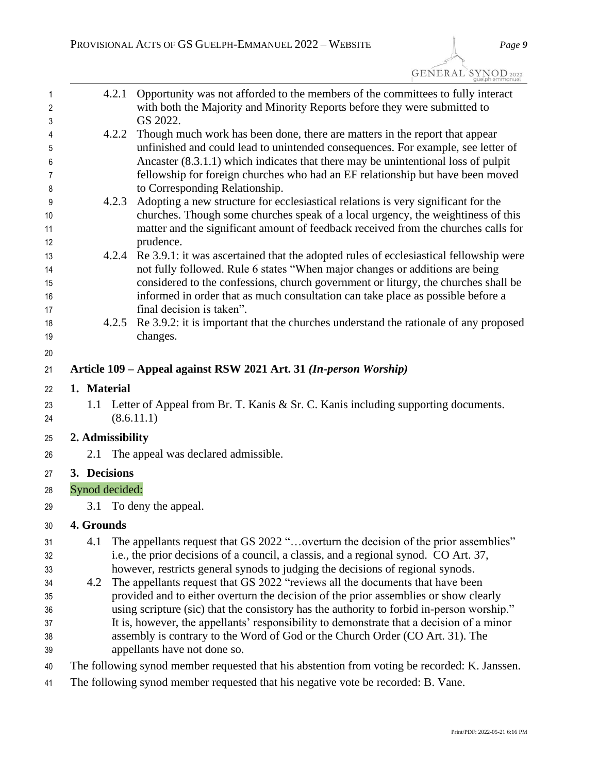| <b>GENERAL SYNOD</b> 2022 |  |
|---------------------------|--|
|                           |  |

| 1<br>2   | 4.2.1            | Opportunity was not afforded to the members of the committees to fully interact<br>with both the Majority and Minority Reports before they were submitted to |
|----------|------------------|--------------------------------------------------------------------------------------------------------------------------------------------------------------|
| 3        |                  | GS 2022.                                                                                                                                                     |
| 4        | 4.2.2            | Though much work has been done, there are matters in the report that appear                                                                                  |
| 5        |                  | unfinished and could lead to unintended consequences. For example, see letter of                                                                             |
| 6        |                  | Ancaster (8.3.1.1) which indicates that there may be unintentional loss of pulpit                                                                            |
| 7        |                  | fellowship for foreign churches who had an EF relationship but have been moved                                                                               |
| 8        |                  | to Corresponding Relationship.                                                                                                                               |
| 9        | 4.2.3            | Adopting a new structure for ecclesiastical relations is very significant for the                                                                            |
| 10       |                  | churches. Though some churches speak of a local urgency, the weightiness of this                                                                             |
| 11       |                  | matter and the significant amount of feedback received from the churches calls for                                                                           |
| 12<br>13 |                  | prudence.<br>4.2.4 Re 3.9.1: it was ascertained that the adopted rules of ecclesiastical fellowship were                                                     |
| 14       |                  | not fully followed. Rule 6 states "When major changes or additions are being                                                                                 |
| 15       |                  | considered to the confessions, church government or liturgy, the churches shall be                                                                           |
| 16       |                  | informed in order that as much consultation can take place as possible before a                                                                              |
| 17       |                  | final decision is taken".                                                                                                                                    |
| 18       | 4.2.5            | Re 3.9.2: it is important that the churches understand the rationale of any proposed                                                                         |
| 19       |                  | changes.                                                                                                                                                     |
| 20       |                  |                                                                                                                                                              |
| 21       |                  | Article 109 – Appeal against RSW 2021 Art. 31 (In-person Worship)                                                                                            |
| 22       | 1. Material      |                                                                                                                                                              |
| 23<br>24 |                  | 1.1 Letter of Appeal from Br. T. Kanis & Sr. C. Kanis including supporting documents.<br>(8.6.11.1)                                                          |
|          |                  |                                                                                                                                                              |
| 25       | 2. Admissibility |                                                                                                                                                              |
| 26       | 2.1              | The appeal was declared admissible.                                                                                                                          |
| 27       | 3. Decisions     |                                                                                                                                                              |
| 28       | Synod decided:   |                                                                                                                                                              |
| 29       |                  | 3.1 To deny the appeal.                                                                                                                                      |
| 30       | 4. Grounds       |                                                                                                                                                              |
| 31       | 4.1              | The appellants request that GS 2022 "overturn the decision of the prior assemblies"                                                                          |
| 32       |                  | i.e., the prior decisions of a council, a classis, and a regional synod. CO Art. 37,                                                                         |
| 33       |                  | however, restricts general synods to judging the decisions of regional synods.                                                                               |
| 34       | 4.2              | The appellants request that GS 2022 "reviews all the documents that have been                                                                                |
| 35       |                  | provided and to either overturn the decision of the prior assemblies or show clearly                                                                         |
| 36       |                  | using scripture (sic) that the consistory has the authority to forbid in-person worship."                                                                    |
| 37       |                  | It is, however, the appellants' responsibility to demonstrate that a decision of a minor                                                                     |
| 38<br>39 |                  | assembly is contrary to the Word of God or the Church Order (CO Art. 31). The<br>appellants have not done so.                                                |
|          |                  |                                                                                                                                                              |
| 40       |                  | The following synod member requested that his abstention from voting be recorded: K. Janssen.                                                                |
| 41       |                  | The following synod member requested that his negative vote be recorded: B. Vane.                                                                            |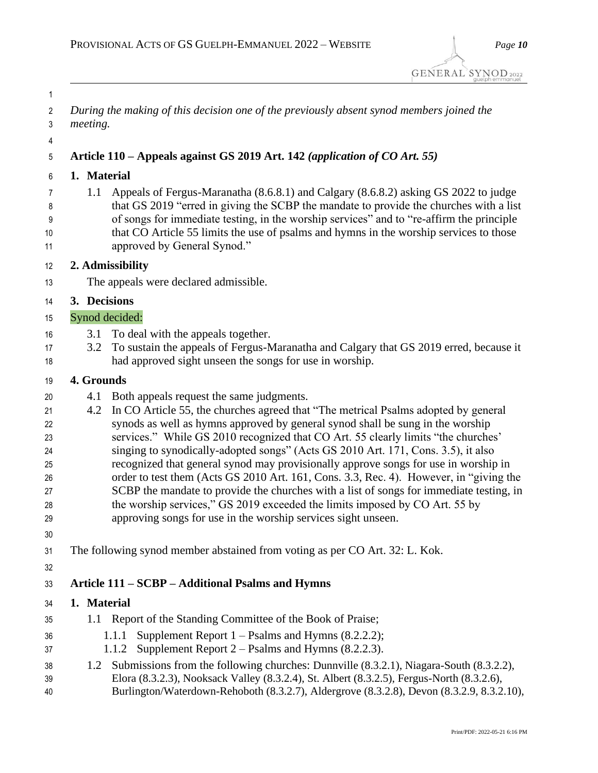| 1              |                                                                                                                                                                                      |
|----------------|--------------------------------------------------------------------------------------------------------------------------------------------------------------------------------------|
| $\overline{2}$ | During the making of this decision one of the previously absent synod members joined the                                                                                             |
| 3              | meeting.                                                                                                                                                                             |
|                |                                                                                                                                                                                      |
| 4<br>5         | Article 110 – Appeals against GS 2019 Art. 142 (application of CO Art. 55)                                                                                                           |
|                |                                                                                                                                                                                      |
| 6              | 1. Material                                                                                                                                                                          |
| 7              | Appeals of Fergus-Maranatha (8.6.8.1) and Calgary (8.6.8.2) asking GS 2022 to judge<br>1.1<br>that GS 2019 "erred in giving the SCBP the mandate to provide the churches with a list |
| 8<br>9         | of songs for immediate testing, in the worship services" and to "re-affirm the principle                                                                                             |
| 10             | that CO Article 55 limits the use of psalms and hymns in the worship services to those                                                                                               |
| 11             | approved by General Synod."                                                                                                                                                          |
| 12             | 2. Admissibility                                                                                                                                                                     |
| 13             | The appeals were declared admissible.                                                                                                                                                |
| 14             | 3. Decisions                                                                                                                                                                         |
| 15             | Synod decided:                                                                                                                                                                       |
| 16             | To deal with the appeals together.<br>3.1                                                                                                                                            |
| 17             | To sustain the appeals of Fergus-Maranatha and Calgary that GS 2019 erred, because it<br>3.2                                                                                         |
| 18             | had approved sight unseen the songs for use in worship.                                                                                                                              |
| 19             | 4. Grounds                                                                                                                                                                           |
|                | Both appeals request the same judgments.<br>4.1                                                                                                                                      |
| 20<br>21       | In CO Article 55, the churches agreed that "The metrical Psalms adopted by general<br>4.2                                                                                            |
| 22             | synods as well as hymns approved by general synod shall be sung in the worship                                                                                                       |
| 23             | services." While GS 2010 recognized that CO Art. 55 clearly limits "the churches'                                                                                                    |
| 24             | singing to synodically-adopted songs" (Acts GS 2010 Art. 171, Cons. 3.5), it also                                                                                                    |
| 25             | recognized that general synod may provisionally approve songs for use in worship in                                                                                                  |
| 26             | order to test them (Acts GS 2010 Art. 161, Cons. 3.3, Rec. 4). However, in "giving the                                                                                               |
| 27             | SCBP the mandate to provide the churches with a list of songs for immediate testing, in                                                                                              |
| 28             | the worship services," GS 2019 exceeded the limits imposed by CO Art. 55 by<br>approving songs for use in the worship services sight unseen.                                         |
| 29             |                                                                                                                                                                                      |
| 30             |                                                                                                                                                                                      |
| 31             | The following synod member abstained from voting as per CO Art. 32: L. Kok.                                                                                                          |
| 32             |                                                                                                                                                                                      |
| 33             | Article 111 - SCBP - Additional Psalms and Hymns                                                                                                                                     |
| 34             | 1. Material                                                                                                                                                                          |
| 35             | 1.1 Report of the Standing Committee of the Book of Praise;                                                                                                                          |
| 36             | Supplement Report $1 -$ Psalms and Hymns (8.2.2.2);<br>1.1.1                                                                                                                         |
| 37             | Supplement Report $2$ – Psalms and Hymns (8.2.2.3).<br>1.1.2                                                                                                                         |
| 38             | Submissions from the following churches: Dunnville (8.3.2.1), Niagara-South (8.3.2.2),<br>1.2                                                                                        |
| 39             | Elora (8.3.2.3), Nooksack Valley (8.3.2.4), St. Albert (8.3.2.5), Fergus-North (8.3.2.6),                                                                                            |
| 40             | Burlington/Waterdown-Rehoboth (8.3.2.7), Aldergrove (8.3.2.8), Devon (8.3.2.9, 8.3.2.10),                                                                                            |
|                |                                                                                                                                                                                      |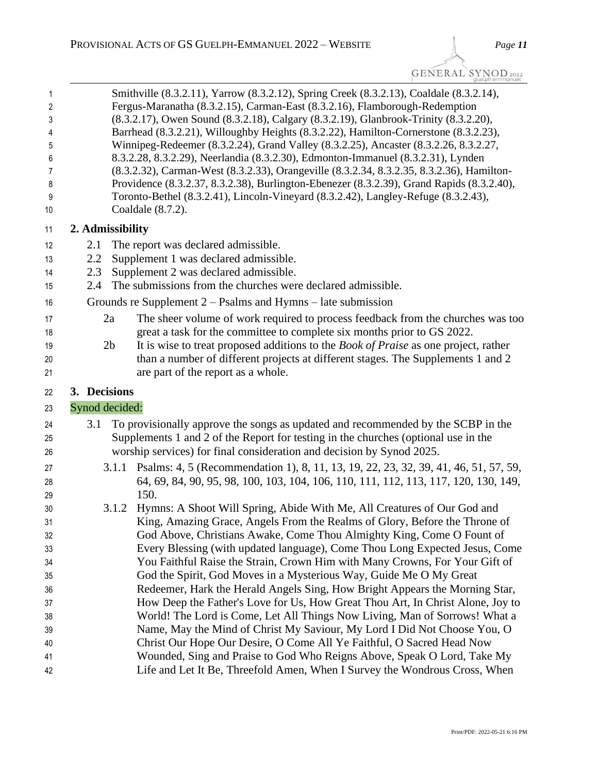GENERAL SYNOD 2022

|       |                                                                       | guelph emmanuel                                                                            |  |  |  |
|-------|-----------------------------------------------------------------------|--------------------------------------------------------------------------------------------|--|--|--|
| 1     |                                                                       | Smithville (8.3.2.11), Yarrow (8.3.2.12), Spring Creek (8.3.2.13), Coaldale (8.3.2.14),    |  |  |  |
| 2     |                                                                       | Fergus-Maranatha (8.3.2.15), Carman-East (8.3.2.16), Flamborough-Redemption                |  |  |  |
| 3     |                                                                       | (8.3.2.17), Owen Sound (8.3.2.18), Calgary (8.3.2.19), Glanbrook-Trinity (8.3.2.20),       |  |  |  |
| 4     |                                                                       | Barrhead (8.3.2.21), Willoughby Heights (8.3.2.22), Hamilton-Cornerstone (8.3.2.23),       |  |  |  |
| 5     |                                                                       | Winnipeg-Redeemer (8.3.2.24), Grand Valley (8.3.2.25), Ancaster (8.3.2.26, 8.3.2.27,       |  |  |  |
| 6     |                                                                       | 8.3.2.28, 8.3.2.29), Neerlandia (8.3.2.30), Edmonton-Immanuel (8.3.2.31), Lynden           |  |  |  |
| 7     |                                                                       | (8.3.2.32), Carman-West (8.3.2.33), Orangeville (8.3.2.34, 8.3.2.35, 8.3.2.36), Hamilton-  |  |  |  |
| 8     |                                                                       | Providence (8.3.2.37, 8.3.2.38), Burlington-Ebenezer (8.3.2.39), Grand Rapids (8.3.2.40),  |  |  |  |
| $9\,$ |                                                                       | Toronto-Bethel (8.3.2.41), Lincoln-Vineyard (8.3.2.42), Langley-Refuge (8.3.2.43),         |  |  |  |
| 10    | Coaldale $(8.7.2)$ .                                                  |                                                                                            |  |  |  |
| 11    | 2. Admissibility                                                      |                                                                                            |  |  |  |
| 12    | 2.1                                                                   | The report was declared admissible.                                                        |  |  |  |
| 13    | 2.2                                                                   | Supplement 1 was declared admissible.                                                      |  |  |  |
| 14    | 2.3                                                                   | Supplement 2 was declared admissible.                                                      |  |  |  |
| 15    | 2.4                                                                   | The submissions from the churches were declared admissible.                                |  |  |  |
| 16    |                                                                       | Grounds re Supplement $2 -$ Psalms and Hymns – late submission                             |  |  |  |
| 17    | 2a                                                                    | The sheer volume of work required to process feedback from the churches was too            |  |  |  |
| 18    |                                                                       | great a task for the committee to complete six months prior to GS 2022.                    |  |  |  |
| 19    | 2 <sub>b</sub>                                                        | It is wise to treat proposed additions to the <i>Book of Praise</i> as one project, rather |  |  |  |
| 20    |                                                                       | than a number of different projects at different stages. The Supplements 1 and 2           |  |  |  |
| 21    |                                                                       | are part of the report as a whole.                                                         |  |  |  |
|       |                                                                       |                                                                                            |  |  |  |
| 22    | 3. Decisions                                                          |                                                                                            |  |  |  |
| 23    | Synod decided:                                                        |                                                                                            |  |  |  |
| 24    | 3.1                                                                   | To provisionally approve the songs as updated and recommended by the SCBP in the           |  |  |  |
| 25    |                                                                       | Supplements 1 and 2 of the Report for testing in the churches (optional use in the         |  |  |  |
| 26    | worship services) for final consideration and decision by Synod 2025. |                                                                                            |  |  |  |
| 27    |                                                                       | 3.1.1 Psalms: 4, 5 (Recommendation 1), 8, 11, 13, 19, 22, 23, 32, 39, 41, 46, 51, 57, 59,  |  |  |  |
| 28    |                                                                       | 64, 69, 84, 90, 95, 98, 100, 103, 104, 106, 110, 111, 112, 113, 117, 120, 130, 149,        |  |  |  |
| 29    | 150.                                                                  |                                                                                            |  |  |  |
| 30    | 3.1.2                                                                 | Hymns: A Shoot Will Spring, Abide With Me, All Creatures of Our God and                    |  |  |  |
| 31    |                                                                       | King, Amazing Grace, Angels From the Realms of Glory, Before the Throne of                 |  |  |  |
| 32    |                                                                       | God Above, Christians Awake, Come Thou Almighty King, Come O Fount of                      |  |  |  |
| วว    |                                                                       | Every Blessing (with undated language) Come Thou Long Expected Jesus Come                  |  |  |  |

 Every Blessing (with updated language), Come Thou Long Expected Jesus, Come You Faithful Raise the Strain, Crown Him with Many Crowns, For Your Gift of God the Spirit, God Moves in a Mysterious Way, Guide Me O My Great Redeemer, Hark the Herald Angels Sing, How Bright Appears the Morning Star, How Deep the Father's Love for Us, How Great Thou Art, In Christ Alone, Joy to World! The Lord is Come, Let All Things Now Living, Man of Sorrows! What a Name, May the Mind of Christ My Saviour, My Lord I Did Not Choose You, O Christ Our Hope Our Desire, O Come All Ye Faithful, O Sacred Head Now Wounded, Sing and Praise to God Who Reigns Above, Speak O Lord, Take My Life and Let It Be, Threefold Amen, When I Survey the Wondrous Cross, When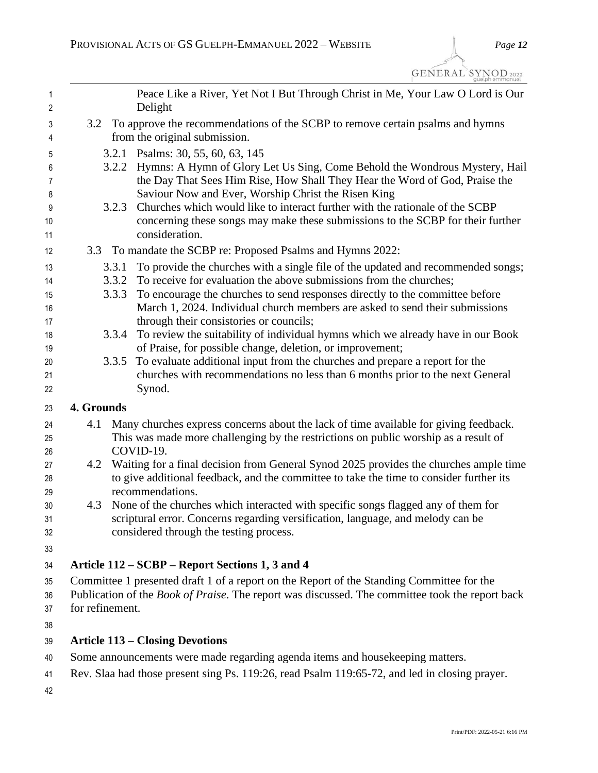| 1<br>$\overline{2}$ |                                                                                                                    | Peace Like a River, Yet Not I But Through Christ in Me, Your Law O Lord is Our<br>Delight                                                                                   |  |
|---------------------|--------------------------------------------------------------------------------------------------------------------|-----------------------------------------------------------------------------------------------------------------------------------------------------------------------------|--|
| 3<br>4              | 3.2 To approve the recommendations of the SCBP to remove certain psalms and hymns<br>from the original submission. |                                                                                                                                                                             |  |
| 5                   |                                                                                                                    | 3.2.1 Psalms: 30, 55, 60, 63, 145                                                                                                                                           |  |
| 6                   |                                                                                                                    | 3.2.2 Hymns: A Hymn of Glory Let Us Sing, Come Behold the Wondrous Mystery, Hail                                                                                            |  |
| 7                   |                                                                                                                    | the Day That Sees Him Rise, How Shall They Hear the Word of God, Praise the                                                                                                 |  |
| 8                   |                                                                                                                    | Saviour Now and Ever, Worship Christ the Risen King                                                                                                                         |  |
| 9                   | 3.2.3                                                                                                              | Churches which would like to interact further with the rationale of the SCBP                                                                                                |  |
| 10                  |                                                                                                                    | concerning these songs may make these submissions to the SCBP for their further                                                                                             |  |
| 11                  |                                                                                                                    | consideration.                                                                                                                                                              |  |
| 12                  | 3.3                                                                                                                | To mandate the SCBP re: Proposed Psalms and Hymns 2022:                                                                                                                     |  |
| 13                  | 3.3.1                                                                                                              | To provide the churches with a single file of the updated and recommended songs;                                                                                            |  |
| 14                  |                                                                                                                    | 3.3.2 To receive for evaluation the above submissions from the churches;                                                                                                    |  |
| 15                  | 3.3.3                                                                                                              | To encourage the churches to send responses directly to the committee before                                                                                                |  |
| 16                  |                                                                                                                    | March 1, 2024. Individual church members are asked to send their submissions                                                                                                |  |
| 17                  |                                                                                                                    | through their consistories or councils;                                                                                                                                     |  |
| 18                  | 3.3.4                                                                                                              | To review the suitability of individual hymns which we already have in our Book                                                                                             |  |
| 19                  | 3.3.5                                                                                                              | of Praise, for possible change, deletion, or improvement;<br>To evaluate additional input from the churches and prepare a report for the                                    |  |
| 20<br>21            |                                                                                                                    | churches with recommendations no less than 6 months prior to the next General                                                                                               |  |
| 22                  |                                                                                                                    | Synod.                                                                                                                                                                      |  |
| 23                  | 4. Grounds                                                                                                         |                                                                                                                                                                             |  |
|                     | 4.1                                                                                                                |                                                                                                                                                                             |  |
| 24<br>25            |                                                                                                                    | Many churches express concerns about the lack of time available for giving feedback.<br>This was made more challenging by the restrictions on public worship as a result of |  |
| 26                  |                                                                                                                    | COVID-19.                                                                                                                                                                   |  |
| 27                  | 4.2                                                                                                                | Waiting for a final decision from General Synod 2025 provides the churches ample time                                                                                       |  |
| 28                  |                                                                                                                    | to give additional feedback, and the committee to take the time to consider further its                                                                                     |  |
| 29                  |                                                                                                                    | recommendations.                                                                                                                                                            |  |
| 30                  | 4.3                                                                                                                | None of the churches which interacted with specific songs flagged any of them for                                                                                           |  |
| 31                  |                                                                                                                    | scriptural error. Concerns regarding versification, language, and melody can be                                                                                             |  |
| 32                  |                                                                                                                    | considered through the testing process.                                                                                                                                     |  |
| 33                  |                                                                                                                    |                                                                                                                                                                             |  |
| 34                  |                                                                                                                    | Article 112 – SCBP – Report Sections 1, 3 and 4                                                                                                                             |  |
| 35                  |                                                                                                                    | Committee 1 presented draft 1 of a report on the Report of the Standing Committee for the                                                                                   |  |
| 36                  | Publication of the <i>Book of Praise</i> . The report was discussed. The committee took the report back            |                                                                                                                                                                             |  |
| 37                  | for refinement.                                                                                                    |                                                                                                                                                                             |  |
| 38                  |                                                                                                                    |                                                                                                                                                                             |  |
| 39                  |                                                                                                                    | <b>Article 113 – Closing Devotions</b>                                                                                                                                      |  |
| 40                  | Some announcements were made regarding agenda items and housekeeping matters.                                      |                                                                                                                                                                             |  |
| 41                  | Rev. Slaa had those present sing Ps. 119:26, read Psalm 119:65-72, and led in closing prayer.                      |                                                                                                                                                                             |  |
| 42                  |                                                                                                                    |                                                                                                                                                                             |  |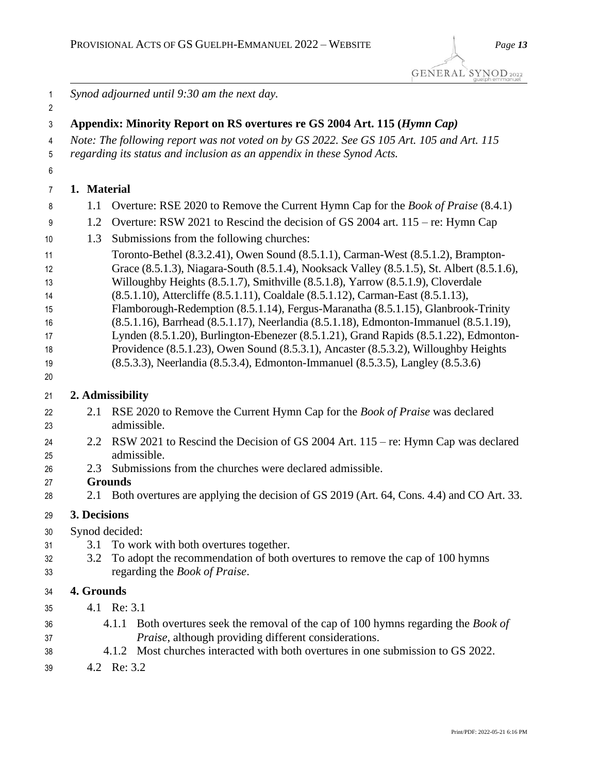*Synod adjourned until 9:30 am the next day.* **Appendix: Minority Report on RS overtures re GS 2004 Art. 115 (***Hymn Cap) Note: The following report was not voted on by GS 2022. See GS 105 Art. 105 and Art. 115 regarding its status and inclusion as an appendix in these Synod Acts.* **1. Material**  1.1 Overture: RSE 2020 to Remove the Current Hymn Cap for the *Book of Praise* (8.4.1) 1.2 Overture: RSW 2021 to Rescind the decision of GS 2004 art. 115 – re: Hymn Cap 1.3 Submissions from the following churches: Toronto-Bethel (8.3.2.41), Owen Sound (8.5.1.1), Carman-West (8.5.1.2), Brampton- Grace (8.5.1.3), Niagara-South (8.5.1.4), Nooksack Valley (8.5.1.5), St. Albert (8.5.1.6), Willoughby Heights (8.5.1.7), Smithville (8.5.1.8), Yarrow (8.5.1.9), Cloverdale (8.5.1.10), Attercliffe (8.5.1.11), Coaldale (8.5.1.12), Carman-East (8.5.1.13), Flamborough-Redemption (8.5.1.14), Fergus-Maranatha (8.5.1.15), Glanbrook-Trinity (8.5.1.16), Barrhead (8.5.1.17), Neerlandia (8.5.1.18), Edmonton-Immanuel (8.5.1.19), Lynden (8.5.1.20), Burlington-Ebenezer (8.5.1.21), Grand Rapids (8.5.1.22), Edmonton- Providence (8.5.1.23), Owen Sound (8.5.3.1), Ancaster (8.5.3.2), Willoughby Heights (8.5.3.3), Neerlandia (8.5.3.4), Edmonton-Immanuel (8.5.3.5), Langley (8.5.3.6) **2. Admissibility** 2.1 RSE 2020 to Remove the Current Hymn Cap for the *Book of Praise* was declared admissible. 2.2 RSW 2021 to Rescind the Decision of GS 2004 Art. 115 – re: Hymn Cap was declared admissible. 2.3 Submissions from the churches were declared admissible. **Grounds** 2.1 Both overtures are applying the decision of GS 2019 (Art. 64, Cons. 4.4) and CO Art. 33. **3. Decisions** Synod decided: 3.1 To work with both overtures together. 3.2 To adopt the recommendation of both overtures to remove the cap of 100 hymns regarding the *Book of Praise*. **4. Grounds** 4.1 Re: 3.1 4.1.1 Both overtures seek the removal of the cap of 100 hymns regarding the *Book of Praise*, although providing different considerations. 4.1.2 Most churches interacted with both overtures in one submission to GS 2022.

4.2 Re: 3.2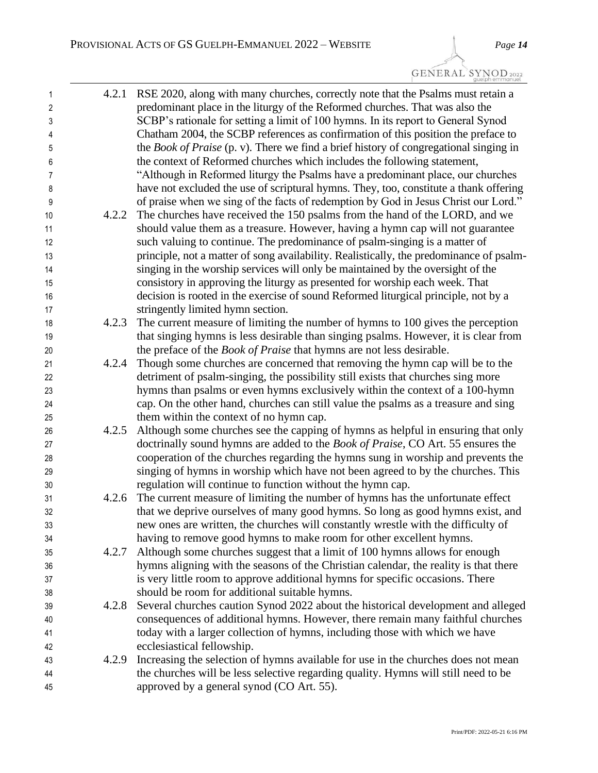GENERAL SYNOD2022

| $\mathbf{1}$   | 4.2.1 | RSE 2020, along with many churches, correctly note that the Psalms must retain a             |
|----------------|-------|----------------------------------------------------------------------------------------------|
| $\overline{2}$ |       | predominant place in the liturgy of the Reformed churches. That was also the                 |
| 3              |       | SCBP's rationale for setting a limit of 100 hymns. In its report to General Synod            |
| 4              |       | Chatham 2004, the SCBP references as confirmation of this position the preface to            |
| 5              |       | the <i>Book of Praise</i> (p. v). There we find a brief history of congregational singing in |
| 6              |       | the context of Reformed churches which includes the following statement,                     |
| $\overline{7}$ |       | "Although in Reformed liturgy the Psalms have a predominant place, our churches              |
| 8              |       | have not excluded the use of scriptural hymns. They, too, constitute a thank offering        |
| 9              |       | of praise when we sing of the facts of redemption by God in Jesus Christ our Lord."          |
| 10             | 4.2.2 | The churches have received the 150 psalms from the hand of the LORD, and we                  |
| 11             |       | should value them as a treasure. However, having a hymn cap will not guarantee               |
| 12             |       | such valuing to continue. The predominance of psalm-singing is a matter of                   |
| 13             |       | principle, not a matter of song availability. Realistically, the predominance of psalm-      |
| 14             |       | singing in the worship services will only be maintained by the oversight of the              |
| 15             |       | consistory in approving the liturgy as presented for worship each week. That                 |
| 16             |       | decision is rooted in the exercise of sound Reformed liturgical principle, not by a          |
| 17             |       | stringently limited hymn section.                                                            |
| 18             | 4.2.3 | The current measure of limiting the number of hymns to 100 gives the perception              |
| 19             |       | that singing hymns is less desirable than singing psalms. However, it is clear from          |
| 20             |       | the preface of the <i>Book of Praise</i> that hymns are not less desirable.                  |
| 21             | 4.2.4 | Though some churches are concerned that removing the hymn cap will be to the                 |
| 22             |       | detriment of psalm-singing, the possibility still exists that churches sing more             |
| 23             |       | hymns than psalms or even hymns exclusively within the context of a 100-hymn                 |
| 24             |       | cap. On the other hand, churches can still value the psalms as a treasure and sing           |
| 25             |       | them within the context of no hymn cap.                                                      |
| 26             | 4.2.5 | Although some churches see the capping of hymns as helpful in ensuring that only             |
| 27             |       | doctrinally sound hymns are added to the <i>Book of Praise</i> , CO Art. 55 ensures the      |
| 28             |       | cooperation of the churches regarding the hymns sung in worship and prevents the             |
| 29             |       | singing of hymns in worship which have not been agreed to by the churches. This              |
| 30             |       | regulation will continue to function without the hymn cap.                                   |
| 31             | 4.2.6 | The current measure of limiting the number of hymns has the unfortunate effect               |
| 32             |       | that we deprive ourselves of many good hymns. So long as good hymns exist, and               |
| 33             |       | new ones are written, the churches will constantly wrestle with the difficulty of            |
| 34             |       | having to remove good hymns to make room for other excellent hymns.                          |
| 35             | 4.2.7 | Although some churches suggest that a limit of 100 hymns allows for enough                   |
| 36             |       | hymns aligning with the seasons of the Christian calendar, the reality is that there         |
| 37             |       | is very little room to approve additional hymns for specific occasions. There                |
| 38             |       | should be room for additional suitable hymns.                                                |
| 39             | 4.2.8 | Several churches caution Synod 2022 about the historical development and alleged             |
| 40             |       | consequences of additional hymns. However, there remain many faithful churches               |
| 41             |       | today with a larger collection of hymns, including those with which we have                  |
| 42             |       | ecclesiastical fellowship.                                                                   |
| 43             | 4.2.9 | Increasing the selection of hymns available for use in the churches does not mean            |
| 44             |       | the churches will be less selective regarding quality. Hymns will still need to be           |
| 45             |       | approved by a general synod (CO Art. 55).                                                    |